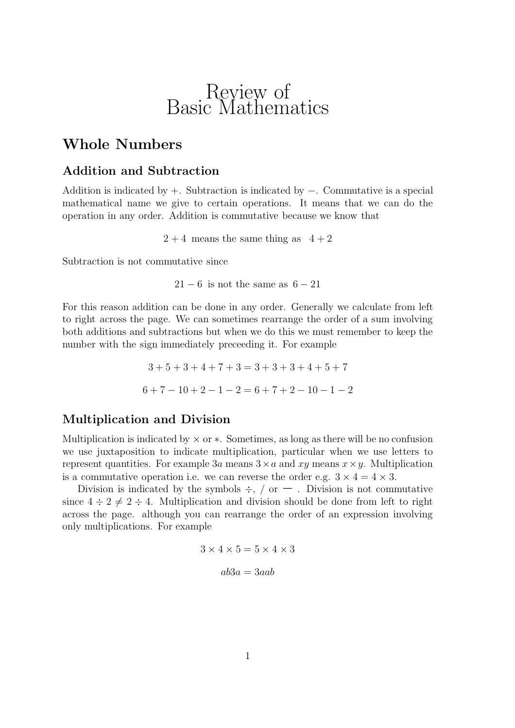## Review of Basic Mathematics

### **Whole Numbers**

### **Addition and Subtraction**

Addition is indicated by  $+$ . Subtraction is indicated by  $-$ . Commutative is a special mathematical name we give to certain operations. It means that we can do the operation in any order. Addition is commutative because we know that

 $2 + 4$  means the same thing as  $4 + 2$ 

Subtraction is not commutative since

 $21 - 6$  is not the same as  $6 - 21$ 

For this reason addition can be done in any order. Generally we calculate from left to right across the page. We can sometimes rearrange the order of a sum involving both additions and subtractions but when we do this we must remember to keep the number with the sign immediately preceeding it. For example

> $3+5+3+4+7+3=3+3+3+4+5+7$  $6+7-10+2-1-2=6+7+2-10-1-2$

### **Multiplication and Division**

Multiplication is indicated by  $\times$  or  $\ast$ . Sometimes, as long as there will be no confusion we use juxtaposition to indicate multiplication, particular when we use letters to represent quantities. For example 3a means  $3\times a$  and  $xy$  means  $x\times y$ . Multiplication is a commutative operation i.e. we can reverse the order e.g.  $3 \times 4 = 4 \times 3$ .

Division is indicated by the symbols  $\div$ , / or  $-$  . Division is not commutative since  $4 \div 2 \neq 2 \div 4$ . Multiplication and division should be done from left to right across the page. although you can rearrange the order of an expression involving only multiplications. For example

$$
3 \times 4 \times 5 = 5 \times 4 \times 3
$$

$$
ab3a = 3aab
$$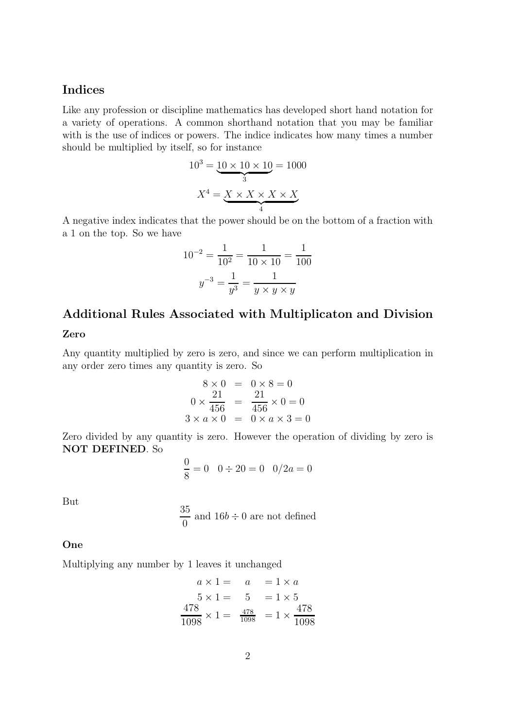### **Indices**

Like any profession or discipline mathematics has developed short hand notation for a variety of operations. A common shorthand notation that you may be familiar with is the use of indices or powers. The indice indicates how many times a number should be multiplied by itself, so for instance

$$
10^3 = \underbrace{10 \times 10 \times 10}_{3} = 1000
$$

$$
X^4 = \underbrace{X \times X \times X \times X}_{4}
$$

A negative index indicates that the power should be on the bottom of a fraction with a 1 on the top. So we have

$$
10^{-2} = \frac{1}{10^2} = \frac{1}{10 \times 10} = \frac{1}{100}
$$

$$
y^{-3} = \frac{1}{y^3} = \frac{1}{y \times y \times y}
$$

# **Additional Rules Associated with Multiplicaton and Division**

#### **Zero**

Any quantity multiplied by zero is zero, and since we can perform multiplication in any order zero times any quantity is zero. So

$$
8 \times 0 = 0 \times 8 = 0
$$
  

$$
0 \times \frac{21}{456} = \frac{21}{456} \times 0 = 0
$$
  

$$
3 \times a \times 0 = 0 \times a \times 3 = 0
$$

Zero divided by any quantity is zero. However the operation of dividing by zero is **NOT DEFINED**. So

$$
\frac{0}{8} = 0 \quad 0 \div 20 = 0 \quad 0/2a = 0
$$

But

$$
\frac{35}{0}
$$
 and 
$$
16b \div 0
$$
 are not defined

#### **One**

Multiplying any number by 1 leaves it unchanged

$$
a \times 1 = a = 1 \times a
$$
  
\n
$$
5 \times 1 = 5 = 1 \times 5
$$
  
\n
$$
\frac{478}{1098} \times 1 = \frac{478}{1098} = 1 \times \frac{478}{1098}
$$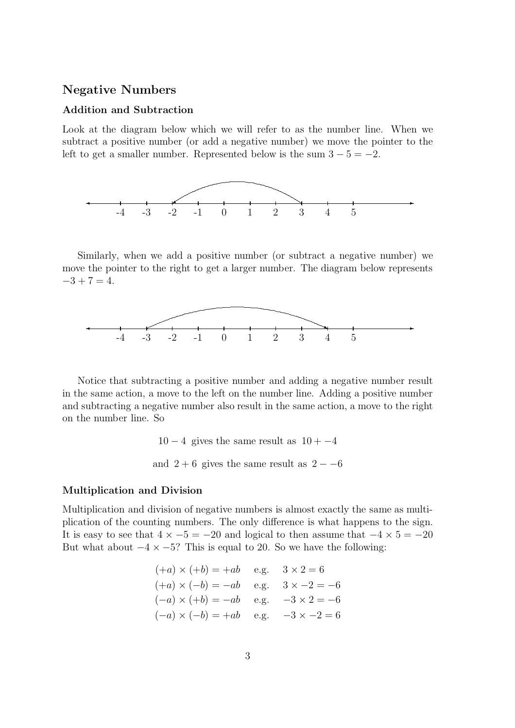### **Negative Numbers**

#### **Addition and Subtraction**

Look at the diagram below which we will refer to as the number line. When we subtract a positive number (or add a negative number) we move the pointer to the left to get a smaller number. Represented below is the sum  $3 - 5 = -2$ .



Similarly, when we add a positive number (or subtract a negative number) we move the pointer to the right to get a larger number. The diagram below represents  $-3 + 7 = 4.$ 



Notice that subtracting a positive number and adding a negative number result in the same action, a move to the left on the number line. Adding a positive number and subtracting a negative number also result in the same action, a move to the right on the number line. So

> $10 - 4$  gives the same result as  $10 - 4$ and  $2 + 6$  gives the same result as  $2 - -6$

#### **Multiplication and Division**

Multiplication and division of negative numbers is almost exactly the same as multiplication of the counting numbers. The only difference is what happens to the sign. It is easy to see that  $4 \times -5 = -20$  and logical to then assume that  $-4 \times 5 = -20$ But what about  $-4 \times -5$ ? This is equal to 20. So we have the following:

$$
(+a) \times (+b) = +ab
$$
 e.g.  $3 \times 2 = 6$   
\n $(+a) \times (-b) = -ab$  e.g.  $3 \times -2 = -6$   
\n $(-a) \times (+b) = -ab$  e.g.  $-3 \times 2 = -6$   
\n $(-a) \times (-b) = +ab$  e.g.  $-3 \times -2 = 6$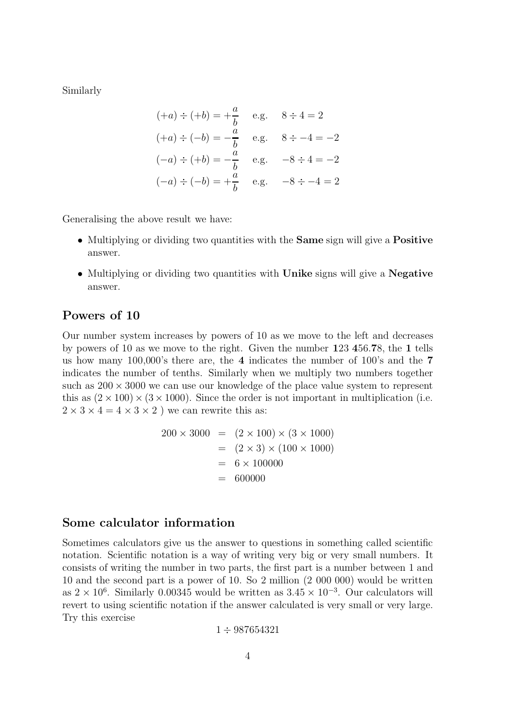Similarly

$$
(+a) \div (+b) = +\frac{a}{b} \quad \text{e.g.} \quad 8 \div 4 = 2
$$
  
\n
$$
(+a) \div (-b) = -\frac{a}{b} \quad \text{e.g.} \quad 8 \div -4 = -2
$$
  
\n
$$
(-a) \div (+b) = -\frac{a}{b} \quad \text{e.g.} \quad -8 \div 4 = -2
$$
  
\n
$$
(-a) \div (-b) = +\frac{a}{b} \quad \text{e.g.} \quad -8 \div -4 = 2
$$

Generalising the above result we have:

- Multiplying or dividing two quantities with the **Same** sign will give a **Positive** answer.
- Multiplying or dividing two quantities with **Unike** signs will give a **Negative** answer.

### **Powers of 10**

Our number system increases by powers of 10 as we move to the left and decreases by powers of 10 as we move to the right. Given the number **1**23 **4**56.**7**8, the **1** tells us how many 100,000's there are, the **4** indicates the number of 100's and the **7** indicates the number of tenths. Similarly when we multiply two numbers together such as  $200 \times 3000$  we can use our knowledge of the place value system to represent this as  $(2 \times 100) \times (3 \times 1000)$ . Since the order is not important in multiplication (i.e.  $2 \times 3 \times 4 = 4 \times 3 \times 2$  ) we can rewrite this as:

$$
200 \times 3000 = (2 \times 100) \times (3 \times 1000)
$$
  
= (2 \times 3) \times (100 \times 1000)  
= 6 \times 100000  
= 600000

### **Some calculator information**

Sometimes calculators give us the answer to questions in something called scientific notation. Scientific notation is a way of writing very big or very small numbers. It consists of writing the number in two parts, the first part is a number between 1 and 10 and the second part is a power of 10. So 2 million (2 000 000) would be written as  $2 \times 10^6$ . Similarly 0.00345 would be written as  $3.45 \times 10^{-3}$ . Our calculators will revert to using scientific notation if the answer calculated is very small or very large. Try this exercise

$$
1\div 987654321
$$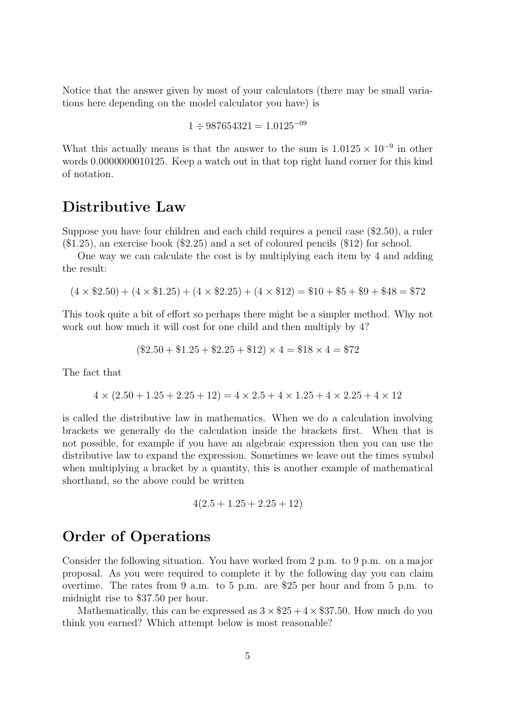Notice that the answer given by most of your calculators (there may be small variations here depending on the model calculator you have) is

$$
1 \div 987654321 = 1.0125^{-09}
$$

What this actually means is that the answer to the sum is  $1.0125 \times 10^{-9}$  in other words 0.0000000010125. Keep a watch out in that top right hand corner for this kind of notation.

### **Distributive Law**

Suppose you have four children and each child requires a pencil case (\$2.50), a ruler (\$1.25), an exercise book (\$2.25) and a set of coloured pencils (\$12) for school.

One way we can calculate the cost is by multiplying each item by 4 and adding the result:

$$
(4 \times \$2.50) + (4 \times \$1.25) + (4 \times \$2.25) + (4 \times \$12) = \$10 + \$5 + \$9 + \$48 = \$72
$$

This took quite a bit of effort so perhaps there might be a simpler method. Why not work out how much it will cost for one child and then multiply by 4?

$$
(\$2.50 + \$1.25 + \$2.25 + \$12) \times 4 = \$18 \times 4 = \$72
$$

The fact that

$$
4 \times (2.50 + 1.25 + 2.25 + 12) = 4 \times 2.5 + 4 \times 1.25 + 4 \times 2.25 + 4 \times 12
$$

is called the distributive law in mathematics. When we do a calculation involving brackets we generally do the calculation inside the brackets first. When that is not possible, for example if you have an algebraic expression then you can use the distributive law to expand the expression. Sometimes we leave out the times symbol when multiplying a bracket by a quantity, this is another example of mathematical shorthand, so the above could be written

$$
4(2.5 + 1.25 + 2.25 + 12)
$$

### **Order of Operations**

Consider the following situation. You have worked from 2 p.m. to 9 p.m. on a major proposal. As you were required to complete it by the following day you can claim overtime. The rates from 9 a.m. to 5 p.m. are \$25 per hour and from 5 p.m. to midnight rise to \$37.50 per hour.

Mathematically, this can be expressed as  $3 \times $25 + 4 \times $37.50$ . How much do you think you earned? Which attempt below is most reasonable?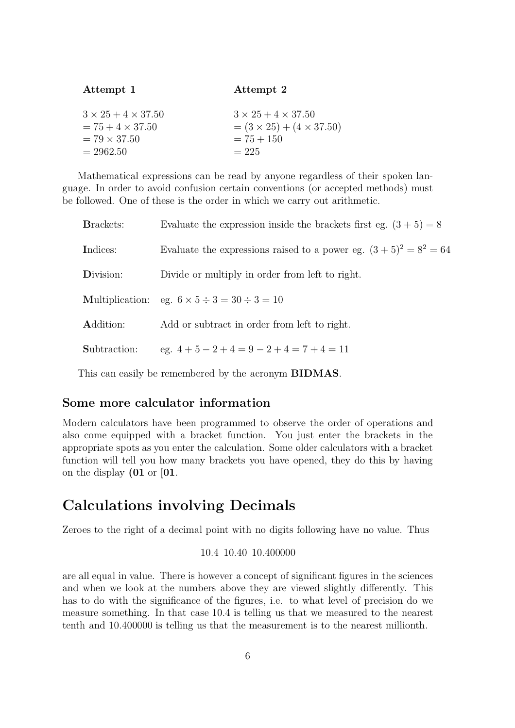| Attempt 1                      | Attempt 2                            |
|--------------------------------|--------------------------------------|
| $3 \times 25 + 4 \times 37.50$ | $3 \times 25 + 4 \times 37.50$       |
| $= 75 + 4 \times 37.50$        | $= (3 \times 25) + (4 \times 37.50)$ |
| $= 79 \times 37.50$            | $= 75 + 150$                         |
| $= 2962.50$                    | $= 225$                              |

Mathematical expressions can be read by anyone regardless of their spoken language. In order to avoid confusion certain conventions (or accepted methods) must be followed. One of these is the order in which we carry out arithmetic.

| <b>Brackets:</b> | Evaluate the expression inside the brackets first eg. $(3 + 5) = 8$ |
|------------------|---------------------------------------------------------------------|
| Indices:         | Evaluate the expressions raised to a power eg. $(3+5)^2 = 8^2 = 64$ |
| Division:        | Divide or multiply in order from left to right.                     |
|                  | Multiplication: eg. $6 \times 5 \div 3 = 30 \div 3 = 10$            |
| Addition:        | Add or subtract in order from left to right.                        |
| Subtraction:     | eg. $4+5-2+4=9-2+4=7+4=11$                                          |

This can easily be remembered by the acronym **BIDMAS**.

#### **Some more calculator information**

Modern calculators have been programmed to observe the order of operations and also come equipped with a bracket function. You just enter the brackets in the appropriate spots as you enter the calculation. Some older calculators with a bracket function will tell you how many brackets you have opened, they do this by having on the display **(01** or **[01**.

### **Calculations involving Decimals**

Zeroes to the right of a decimal point with no digits following have no value. Thus

10.4 10.40 10.400000

are all equal in value. There is however a concept of significant figures in the sciences and when we look at the numbers above they are viewed slightly differently. This has to do with the significance of the figures, i.e. to what level of precision do we measure something. In that case 10.4 is telling us that we measured to the nearest tenth and 10.400000 is telling us that the measurement is to the nearest millionth.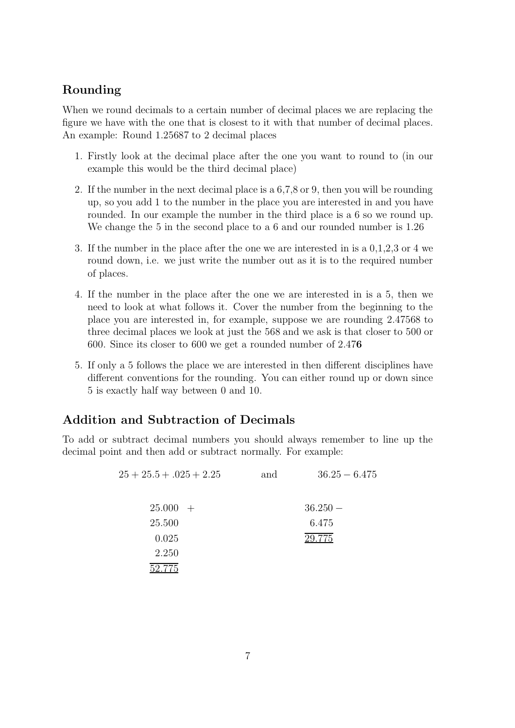### **Rounding**

When we round decimals to a certain number of decimal places we are replacing the figure we have with the one that is closest to it with that number of decimal places. An example: Round 1.25687 to 2 decimal places

- 1. Firstly look at the decimal place after the one you want to round to (in our example this would be the third decimal place)
- 2. If the number in the next decimal place is a 6,7,8 or 9, then you will be rounding up, so you add 1 to the number in the place you are interested in and you have rounded. In our example the number in the third place is a 6 so we round up. We change the 5 in the second place to a 6 and our rounded number is 1.26
- 3. If the number in the place after the one we are interested in is a 0,1,2,3 or 4 we round down, i.e. we just write the number out as it is to the required number of places.
- 4. If the number in the place after the one we are interested in is a 5, then we need to look at what follows it. Cover the number from the beginning to the place you are interested in, for example, suppose we are rounding 2.47568 to three decimal places we look at just the 568 and we ask is that closer to 500 or 600. Since its closer to 600 we get a rounded number of 2.47**6**
- 5. If only a 5 follows the place we are interested in then different disciplines have different conventions for the rounding. You can either round up or down since 5 is exactly half way between 0 and 10.

### **Addition and Subtraction of Decimals**

To add or subtract decimal numbers you should always remember to line up the decimal point and then add or subtract normally. For example:

| $25 + 25.5 + 0.025 + 2.25$ | and | $36.25 - 6.475$ |
|----------------------------|-----|-----------------|
|                            |     |                 |
| $25.000 +$                 |     | $36.250 -$      |
| 25.500                     |     | 6.475           |
| 0.025                      |     | 29.775          |
| 2.250                      |     |                 |
| 2.775                      |     |                 |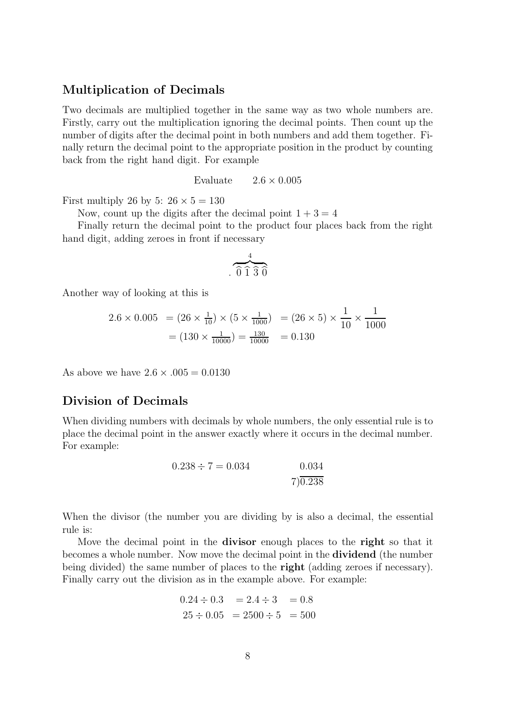### **Multiplication of Decimals**

Two decimals are multiplied together in the same way as two whole numbers are. Firstly, carry out the multiplication ignoring the decimal points. Then count up the number of digits after the decimal point in both numbers and add them together. Finally return the decimal point to the appropriate position in the product by counting back from the right hand digit. For example

Evaluate  $2.6 \times 0.005$ 

First multiply 26 by 5:  $26 \times 5 = 130$ 

Now, count up the digits after the decimal point  $1 + 3 = 4$ 

Finally return the decimal point to the product four places back from the right hand digit, adding zeroes in front if necessary

$$
\overbrace{0\ \widehat{1}\ \widehat{3}\ \widehat{0}}^{4}
$$

Another way of looking at this is

$$
2.6 \times 0.005 = (26 \times \frac{1}{10}) \times (5 \times \frac{1}{1000}) = (26 \times 5) \times \frac{1}{10} \times \frac{1}{1000}
$$

$$
= (130 \times \frac{1}{10000}) = \frac{130}{10000} = 0.130
$$

As above we have  $2.6 \times 0.005 = 0.0130$ 

#### **Division of Decimals**

When dividing numbers with decimals by whole numbers, the only essential rule is to place the decimal point in the answer exactly where it occurs in the decimal number. For example:

$$
0.238 \div 7 = 0.034 \qquad \qquad 0.034
$$
  
7) 0.238

When the divisor (the number you are dividing by is also a decimal, the essential rule is:

Move the decimal point in the **divisor** enough places to the **right** so that it becomes a whole number. Now move the decimal point in the **dividend** (the number being divided) the same number of places to the **right** (adding zeroes if necessary). Finally carry out the division as in the example above. For example:

$$
0.24 \div 0.3 = 2.4 \div 3 = 0.8
$$
  

$$
25 \div 0.05 = 2500 \div 5 = 500
$$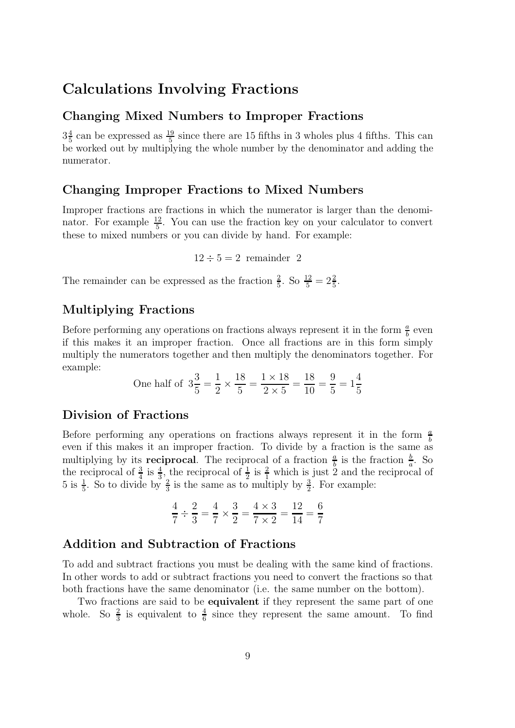### **Calculations Involving Fractions**

### **Changing Mixed Numbers to Improper Fractions**

 $3\frac{4}{5}$  can be expressed as  $\frac{19}{5}$  since there are 15 fifths in 3 wholes plus 4 fifths. This can be worked out by multiplying the whole number by the denominator and adding the numerator.

### **Changing Improper Fractions to Mixed Numbers**

Improper fractions are fractions in which the numerator is larger than the denominator. For example  $\frac{12}{5}$ . You can use the fraction key on your calculator to convert these to mixed numbers or you can divide by hand. For example:

 $12 \div 5 = 2$  remainder 2

The remainder can be expressed as the fraction  $\frac{2}{5}$ . So  $\frac{12}{5} = 2\frac{2}{5}$ .

### **Multiplying Fractions**

Before performing any operations on fractions always represent it in the form  $\frac{a}{b}$  even if this makes it an improper fraction. Once all fractions are in this form simply multiply the numerators together and then multiply the denominators together. For example:

One half of 
$$
3\frac{3}{5} = \frac{1}{2} \times \frac{18}{5} = \frac{1 \times 18}{2 \times 5} = \frac{18}{10} = \frac{9}{5} = 1\frac{4}{5}
$$

### **Division of Fractions**

Before performing any operations on fractions always represent it in the form  $\frac{a}{b}$ even if this makes it an improper fraction. To divide by a fraction is the same as multiplying by its **reciprocal**. The reciprocal of a fraction  $\frac{a}{b}$  is the fraction  $\frac{b}{a}$ . So the reciprocal of  $\frac{3}{4}$  is  $\frac{4}{3}$ , the reciprocal of  $\frac{1}{2}$  is  $\frac{2}{1}$  which is just 2 and the reciprocal of 5 is  $\frac{1}{5}$ . So to divide by  $\frac{2}{3}$  is the same as to multiply by  $\frac{3}{2}$ . For example:

$$
\frac{4}{7} \div \frac{2}{3} = \frac{4}{7} \times \frac{3}{2} = \frac{4 \times 3}{7 \times 2} = \frac{12}{14} = \frac{6}{7}
$$

### **Addition and Subtraction of Fractions**

To add and subtract fractions you must be dealing with the same kind of fractions. In other words to add or subtract fractions you need to convert the fractions so that both fractions have the same denominator (i.e. the same number on the bottom).

Two fractions are said to be **equivalent** if they represent the same part of one whole. So  $\frac{2}{3}$  is equivalent to  $\frac{4}{6}$  since they represent the same amount. To find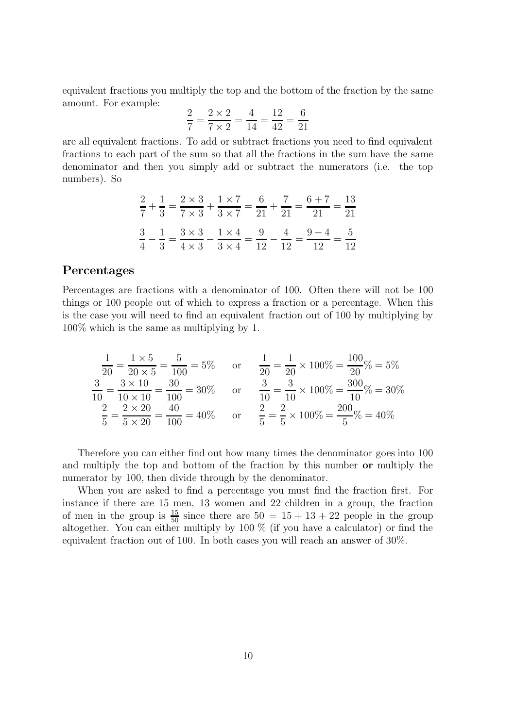equivalent fractions you multiply the top and the bottom of the fraction by the same amount. For example:

$$
\frac{2}{7} = \frac{2 \times 2}{7 \times 2} = \frac{4}{14} = \frac{12}{42} = \frac{6}{21}
$$

are all equivalent fractions. To add or subtract fractions you need to find equivalent fractions to each part of the sum so that all the fractions in the sum have the same denominator and then you simply add or subtract the numerators (i.e. the top numbers). So

$$
\frac{2}{7} + \frac{1}{3} = \frac{2 \times 3}{7 \times 3} + \frac{1 \times 7}{3 \times 7} = \frac{6}{21} + \frac{7}{21} = \frac{6+7}{21} = \frac{13}{21}
$$

$$
\frac{3}{4} - \frac{1}{3} = \frac{3 \times 3}{4 \times 3} - \frac{1 \times 4}{3 \times 4} = \frac{9}{12} - \frac{4}{12} = \frac{9-4}{12} = \frac{5}{12}
$$

#### **Percentages**

Percentages are fractions with a denominator of 100. Often there will not be 100 things or 100 people out of which to express a fraction or a percentage. When this is the case you will need to find an equivalent fraction out of 100 by multiplying by 100% which is the same as multiplying by 1.

$$
\frac{1}{20} = \frac{1 \times 5}{20 \times 5} = \frac{5}{100} = 5\% \quad \text{or} \quad \frac{1}{20} = \frac{1}{20} \times 100\% = \frac{100}{20}\% = 5\%
$$
  

$$
\frac{3}{10} = \frac{3 \times 10}{10 \times 10} = \frac{30}{100} = 30\% \quad \text{or} \quad \frac{3}{10} = \frac{3}{10} \times 100\% = \frac{300}{10}\% = 30\%
$$
  

$$
\frac{2}{5} = \frac{2 \times 20}{5 \times 20} = \frac{40}{100} = 40\% \quad \text{or} \quad \frac{2}{5} = \frac{2}{5} \times 100\% = \frac{200}{5}\% = 40\%
$$

Therefore you can either find out how many times the denominator goes into 100 and multiply the top and bottom of the fraction by this number **or** multiply the numerator by 100, then divide through by the denominator.

When you are asked to find a percentage you must find the fraction first. For instance if there are 15 men, 13 women and 22 children in a group, the fraction of men in the group is  $\frac{15}{50}$  since there are  $50 = 15 + 13 + 22$  people in the group altogether. You can either multiply by 100 % (if you have a calculator) or find the equivalent fraction out of 100. In both cases you will reach an answer of 30%.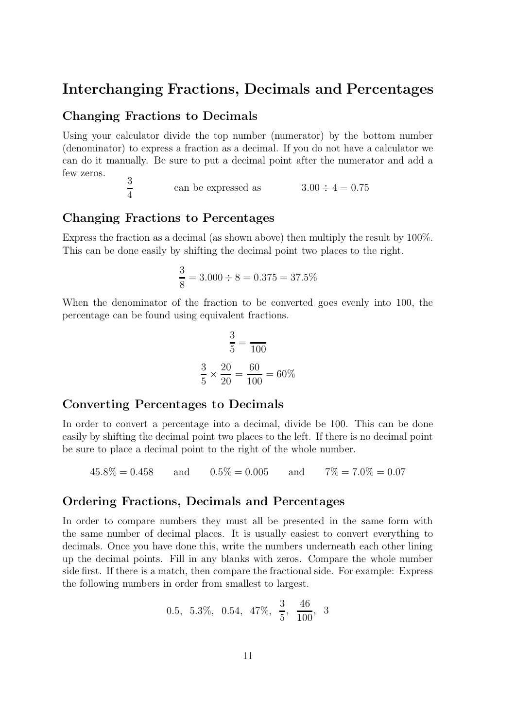### **Interchanging Fractions, Decimals and Percentages**

### **Changing Fractions to Decimals**

Using your calculator divide the top number (numerator) by the bottom number (denominator) to express a fraction as a decimal. If you do not have a calculator we can do it manually. Be sure to put a decimal point after the numerator and add a few zeros.  $\Omega$ 

$$
\frac{3}{4} \qquad \qquad \text{can be expressed as} \qquad \qquad 3.00 \div 4 = 0.75
$$

### **Changing Fractions to Percentages**

Express the fraction as a decimal (as shown above) then multiply the result by 100%. This can be done easily by shifting the decimal point two places to the right.

$$
\frac{3}{8} = 3.000 \div 8 = 0.375 = 37.5\%
$$

When the denominator of the fraction to be converted goes evenly into 100, the percentage can be found using equivalent fractions.

$$
\frac{3}{5} = \frac{}{100}
$$

$$
\frac{3}{5} \times \frac{20}{20} = \frac{60}{100} = 60\%
$$

### **Converting Percentages to Decimals**

In order to convert a percentage into a decimal, divide be 100. This can be done easily by shifting the decimal point two places to the left. If there is no decimal point be sure to place a decimal point to the right of the whole number.

 $45.8\% = 0.458$  and  $0.5\% = 0.005$  and  $7\% = 7.0\% = 0.07$ 

#### **Ordering Fractions, Decimals and Percentages**

In order to compare numbers they must all be presented in the same form with the same number of decimal places. It is usually easiest to convert everything to decimals. Once you have done this, write the numbers underneath each other lining up the decimal points. Fill in any blanks with zeros. Compare the whole number side first. If there is a match, then compare the fractional side. For example: Express the following numbers in order from smallest to largest.

$$
0.5, 5.3\%, 0.54, 47\%, \frac{3}{5}, \frac{46}{100}, 3
$$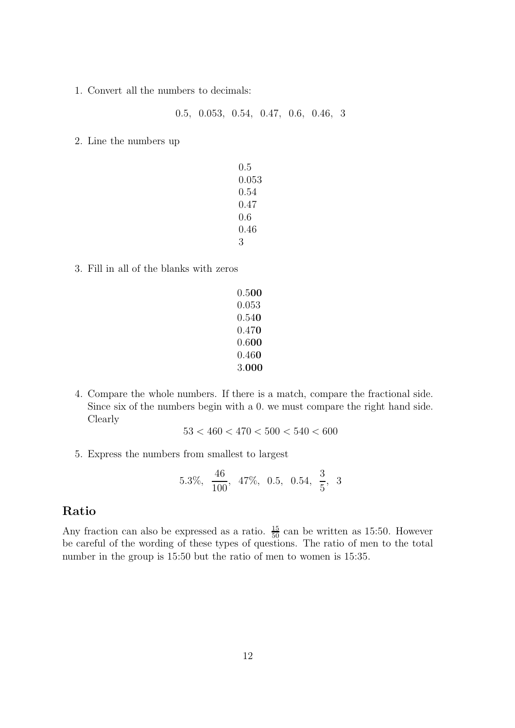1. Convert all the numbers to decimals:

.5, 0.053, 0.54, 0.47, 0.6, 0.46, 3

2. Line the numbers up

| 0.5   |
|-------|
| 0.053 |
| 0.54  |
| 0.47  |
| 0.6   |
| 0.46  |
| З     |

- 3. Fill in all of the blanks with zeros
	- .5**00** .053 .54**0** .47**0** .6**00** .46**0** .**000**
- 4. Compare the whole numbers. If there is a match, compare the fractional side. Since six of the numbers begin with a 0. we must compare the right hand side. Clearly

$$
53 < 460 < 470 < 500 < 540 < 600
$$

5. Express the numbers from smallest to largest

$$
5.3\%, \frac{46}{100}, 47\%, 0.5, 0.54, \frac{3}{5}, 3
$$

### **Ratio**

Any fraction can also be expressed as a ratio.  $\frac{15}{50}$  can be written as 15:50. However be careful of the wording of these types of questions. The ratio of men to the total number in the group is 15:50 but the ratio of men to women is 15:35.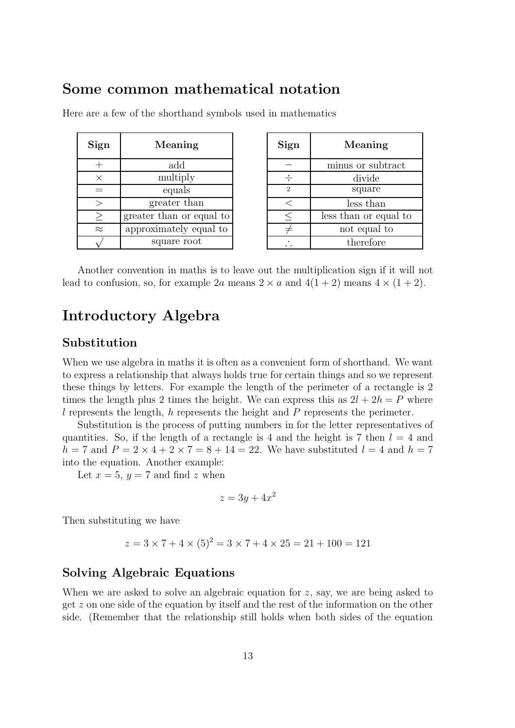### **Some common mathematical notation**

| Sign      | Meaning                  | Sign          | Meaning          |
|-----------|--------------------------|---------------|------------------|
|           | add                      |               | minus or subt    |
| $\times$  | multiply                 |               | divide           |
|           | equals                   | $\mathcal{D}$ | square           |
|           | greater than             |               | less than        |
| $\geq$    | greater than or equal to |               | less than or equ |
| $\approx$ | approximately equal to   |               | not equal t      |
|           | square root              |               | therefore        |

Here are a few of the shorthand symbols used in mathematics

| Sign           | Meaning               |  |  |  |  |  |
|----------------|-----------------------|--|--|--|--|--|
|                | minus or subtract     |  |  |  |  |  |
|                | divide                |  |  |  |  |  |
| $\mathfrak{D}$ | square                |  |  |  |  |  |
| ✓              | less than             |  |  |  |  |  |
| $\leq$         | less than or equal to |  |  |  |  |  |
|                | not equal to          |  |  |  |  |  |
|                | therefore             |  |  |  |  |  |

Another convention in maths is to leave out the multiplication sign if it will not lead to confusion, so, for example 2a means  $2 \times a$  and  $4(1 + 2)$  means  $4 \times (1 + 2)$ .

### **Introductory Algebra**

### **Substitution**

When we use algebra in maths it is often as a convenient form of shorthand. We want to express a relationship that always holds true for certain things and so we represent these things by letters. For example the length of the perimeter of a rectangle is 2 times the length plus 2 times the height. We can express this as  $2l + 2h = P$  where l represents the length, h represents the height and  $P$  represents the perimeter.

Substitution is the process of putting numbers in for the letter representatives of quantities. So, if the length of a rectangle is 4 and the height is 7 then  $l = 4$  and  $h = 7$  and  $P = 2 \times 4 + 2 \times 7 = 8 + 14 = 22$ . We have substituted  $l = 4$  and  $h = 7$ into the equation. Another example:

Let  $x = 5$ ,  $y = 7$  and find z when

$$
z = 3y + 4x^2
$$

Then substituting we have

$$
z = 3 \times 7 + 4 \times (5)^2 = 3 \times 7 + 4 \times 25 = 21 + 100 = 121
$$

#### **Solving Algebraic Equations**

When we are asked to solve an algebraic equation for z, say, we are being asked to get z on one side of the equation by itself and the rest of the information on the other side. (Remember that the relationship still holds when both sides of the equation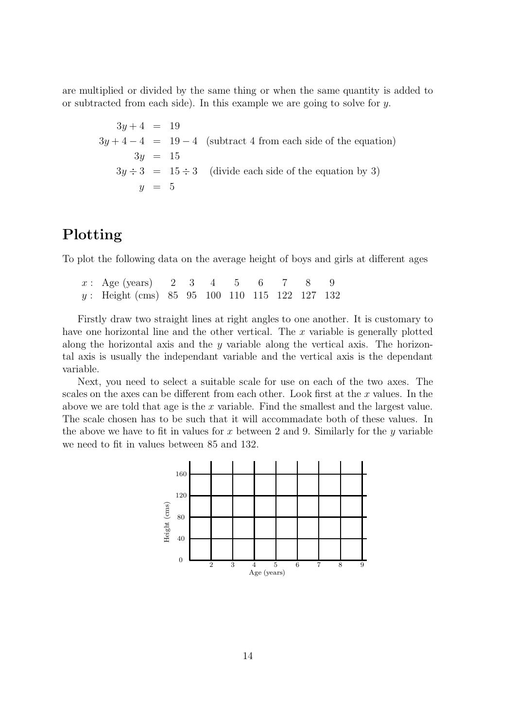are multiplied or divided by the same thing or when the same quantity is added to or subtracted from each side). In this example we are going to solve for  $y$ .

 $3y + 4 = 19$  $3y + 4 - 4 = 19 - 4$  (subtract 4 from each side of the equation)  $3y = 15$  $3y \div 3 = 15 \div 3$  (divide each side of the equation by 3)  $y = 5$ 

### **Plotting**

To plot the following data on the average height of boys and girls at different ages

| $x: \text{Age (years)}$ 2 3 4 5 6 7 8 9         |  |  |  |  |
|-------------------------------------------------|--|--|--|--|
| $y:$ Height (cms) 85 95 100 110 115 122 127 132 |  |  |  |  |

Firstly draw two straight lines at right angles to one another. It is customary to have one horizontal line and the other vertical. The x variable is generally plotted along the horizontal axis and the y variable along the vertical axis. The horizontal axis is usually the independant variable and the vertical axis is the dependant variable.

Next, you need to select a suitable scale for use on each of the two axes. The scales on the axes can be different from each other. Look first at the x values. In the above we are told that age is the x variable. Find the smallest and the largest value. The scale chosen has to be such that it will accommadate both of these values. In the above we have to fit in values for x between 2 and 9. Similarly for the y variable we need to fit in values between 85 and 132.

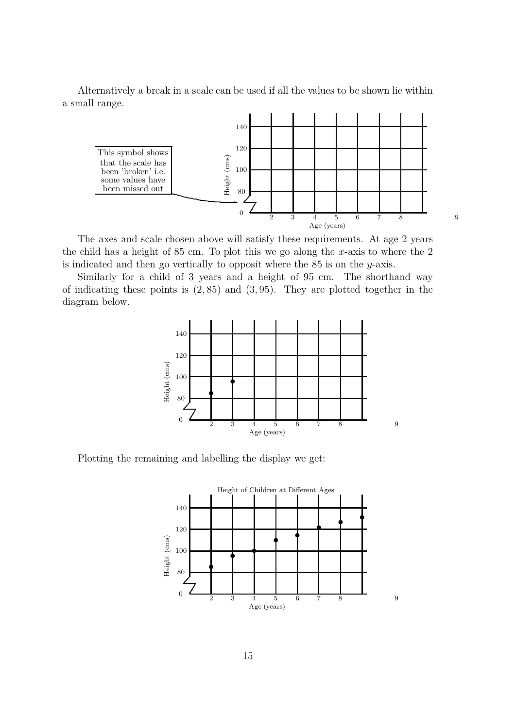Alternatively a break in a scale can be used if all the values to be shown lie within a small range.



The axes and scale chosen above will satisfy these requirements. At age 2 years the child has a height of 85 cm. To plot this we go along the x-axis to where the  $2$ is indicated and then go vertically to opposit where the 85 is on the y-axis.

Similarly for a child of 3 years and a height of 95 cm. The shorthand way of indicating these points is  $(2, 85)$  and  $(3, 95)$ . They are plotted together in the diagram below.



Plotting the remaining and labelling the display we get: